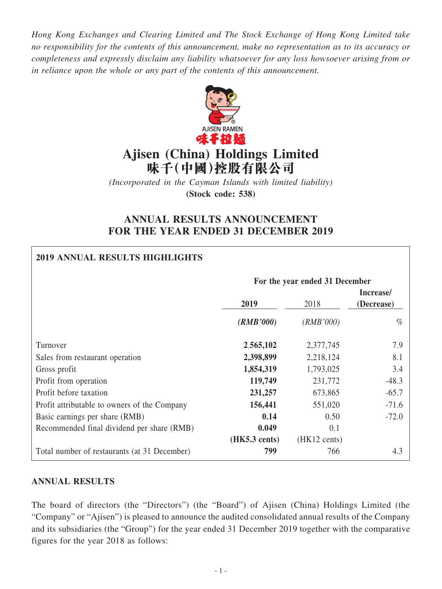*Hong Kong Exchanges and Clearing Limited and The Stock Exchange of Hong Kong Limited take no responsibility for the contents of this announcement, make no representation as to its accuracy or completeness and expressly disclaim any liability whatsoever for any loss howsoever arising from or in reliance upon the whole or any part of the contents of this announcement.*



# **Ajisen (China) Holdings Limited 味千(中國)控股有限公司**

*(Incorporated in the Cayman Islands with limited liability)* **(Stock code: 538)**

# **ANNUAL RESULTS ANNOUNCEMENT FOR THE YEAR ENDED 31 DECEMBER 2019**

# **2019 ANNUAL RESULTS HIGHLIGHTS**

|                                              | For the year ended 31 December |                        |                         |  |  |
|----------------------------------------------|--------------------------------|------------------------|-------------------------|--|--|
|                                              | 2019                           | 2018                   | Increase/<br>(Decrease) |  |  |
|                                              | (RMB'000)                      | (RMB'000)              | $\%$                    |  |  |
| Turnover                                     | 2,565,102                      | 2,377,745              | 7.9                     |  |  |
| Sales from restaurant operation              | 2,398,899                      | 2,218,124              | 8.1                     |  |  |
| Gross profit                                 | 1,854,319                      | 1,793,025              | 3.4                     |  |  |
| Profit from operation                        | 119,749                        | 231,772                | $-48.3$                 |  |  |
| Profit before taxation                       | 231,257                        | 673,865                | $-65.7$                 |  |  |
| Profit attributable to owners of the Company | 156,441                        | 551,020                | $-71.6$                 |  |  |
| Basic earnings per share (RMB)               | 0.14                           | 0.50                   | $-72.0$                 |  |  |
| Recommended final dividend per share (RMB)   | 0.049                          | 0.1                    |                         |  |  |
|                                              | $(HK5.3 \text{ cents})$        | $(HK12 \text{ cents})$ |                         |  |  |
| Total number of restaurants (at 31 December) | 799                            | 766                    | 4.3                     |  |  |

### **ANNUAL RESULTS**

The board of directors (the "Directors") (the "Board") of Ajisen (China) Holdings Limited (the "Company" or "Ajisen") is pleased to announce the audited consolidated annual results of the Company and its subsidiaries (the "Group") for the year ended 31 December 2019 together with the comparative figures for the year 2018 as follows: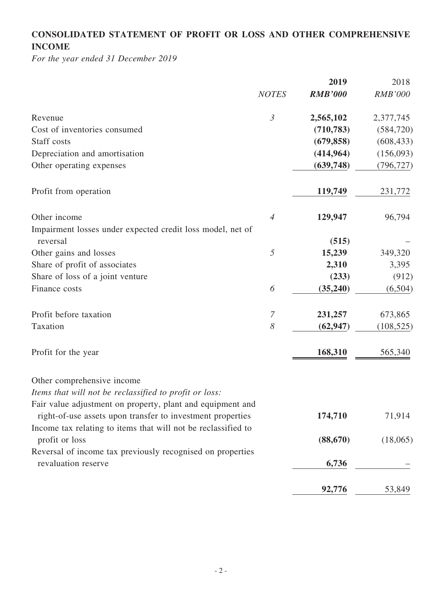# **CONSOLIDATED STATEMENT OF PROFIT OR LOSS AND OTHER COMPREHENSIVE INCOME**

*For the year ended 31 December 2019*

|                                                                                                                          |                | 2019           | 2018           |
|--------------------------------------------------------------------------------------------------------------------------|----------------|----------------|----------------|
|                                                                                                                          | <b>NOTES</b>   | <b>RMB'000</b> | <b>RMB'000</b> |
| Revenue                                                                                                                  | $\mathfrak{Z}$ | 2,565,102      | 2,377,745      |
| Cost of inventories consumed                                                                                             |                | (710, 783)     | (584, 720)     |
| Staff costs                                                                                                              |                | (679, 858)     | (608, 433)     |
| Depreciation and amortisation                                                                                            |                | (414, 964)     | (156,093)      |
| Other operating expenses                                                                                                 |                | (639,748)      | (796, 727)     |
| Profit from operation                                                                                                    |                | 119,749        | 231,772        |
| Other income                                                                                                             | $\overline{4}$ | 129,947        | 96,794         |
| Impairment losses under expected credit loss model, net of                                                               |                |                |                |
| reversal                                                                                                                 |                | (515)          |                |
| Other gains and losses                                                                                                   | 5              | 15,239         | 349,320        |
| Share of profit of associates                                                                                            |                | 2,310          | 3,395          |
| Share of loss of a joint venture                                                                                         |                | (233)          | (912)          |
| Finance costs                                                                                                            | 6              | (35,240)       | (6,504)        |
| Profit before taxation                                                                                                   | $\overline{7}$ | 231,257        | 673,865        |
| Taxation                                                                                                                 | 8              | (62, 947)      | (108, 525)     |
| Profit for the year                                                                                                      |                | 168,310        | 565,340        |
| Other comprehensive income                                                                                               |                |                |                |
| Items that will not be reclassified to profit or loss:                                                                   |                |                |                |
| Fair value adjustment on property, plant and equipment and<br>right-of-use assets upon transfer to investment properties |                | 174,710        | 71,914         |
| Income tax relating to items that will not be reclassified to                                                            |                |                |                |
| profit or loss                                                                                                           |                | (88, 670)      | (18,065)       |
| Reversal of income tax previously recognised on properties<br>revaluation reserve                                        |                | 6,736          |                |
|                                                                                                                          |                |                |                |
|                                                                                                                          |                | 92,776         | 53,849         |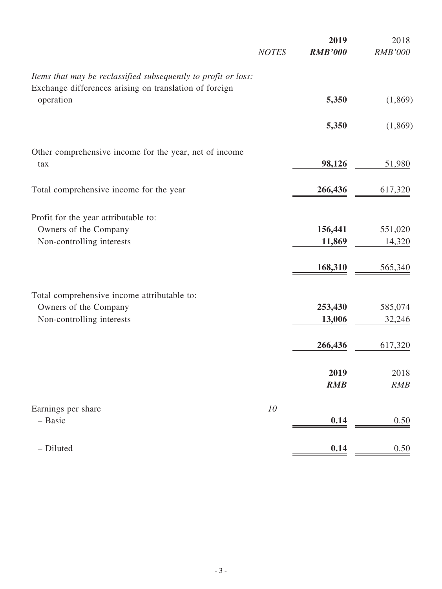|                                                                | <b>NOTES</b> | 2019<br><b>RMB'000</b> | 2018<br><b>RMB'000</b> |
|----------------------------------------------------------------|--------------|------------------------|------------------------|
| Items that may be reclassified subsequently to profit or loss: |              |                        |                        |
| Exchange differences arising on translation of foreign         |              |                        |                        |
| operation                                                      |              | 5,350                  | (1,869)                |
|                                                                |              | 5,350                  | (1,869)                |
| Other comprehensive income for the year, net of income         |              |                        |                        |
| tax                                                            |              | 98,126                 | 51,980                 |
| Total comprehensive income for the year                        |              | 266,436                | 617,320                |
|                                                                |              |                        |                        |
| Profit for the year attributable to:                           |              |                        |                        |
| Owners of the Company                                          |              | 156,441                | 551,020                |
| Non-controlling interests                                      |              | 11,869                 | 14,320                 |
|                                                                |              | 168,310                | 565,340                |
| Total comprehensive income attributable to:                    |              |                        |                        |
| Owners of the Company                                          |              | 253,430                | 585,074                |
| Non-controlling interests                                      |              | 13,006                 | 32,246                 |
|                                                                |              | 266,436                | 617,320                |
|                                                                |              |                        |                        |
|                                                                |              | 2019                   | 2018                   |
|                                                                |              | RMB                    | RMB                    |
| Earnings per share                                             | 10           |                        |                        |
| - Basic                                                        |              | 0.14                   | $0.50\,$               |
| - Diluted                                                      |              | 0.14                   | 0.50                   |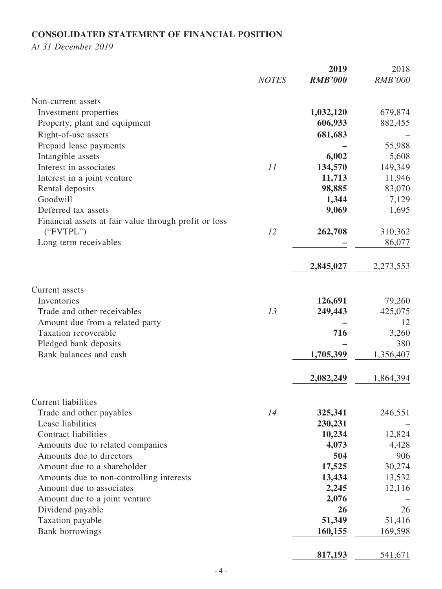# **CONSOLIDATED STATEMENT OF FINANCIAL POSITION**

*At 31 December 2019*

|                                                       | <b>NOTES</b> | 2019<br><b>RMB'000</b> | 2018<br><b>RMB'000</b> |
|-------------------------------------------------------|--------------|------------------------|------------------------|
| Non-current assets                                    |              |                        |                        |
| Investment properties                                 |              | 1,032,120              | 679,874                |
| Property, plant and equipment                         |              | 606,933                | 882,455                |
| Right-of-use assets                                   |              | 681,683                |                        |
| Prepaid lease payments                                |              |                        | 55,988                 |
| Intangible assets                                     |              | 6,002                  | 5,608                  |
| Interest in associates                                | 11           | 134,570                | 149,349                |
| Interest in a joint venture                           |              | 11,713                 | 11,946                 |
| Rental deposits                                       |              | 98,885                 | 83,070                 |
| Goodwill                                              |              | 1,344                  | 7,129                  |
| Deferred tax assets                                   |              | 9,069                  | 1,695                  |
| Financial assets at fair value through profit or loss |              |                        |                        |
| ("FVTPL")                                             | 12           | 262,708                | 310,362                |
| Long term receivables                                 |              |                        | 86,077                 |
|                                                       |              | 2,845,027              | 2,273,553              |
|                                                       |              |                        |                        |
| Current assets                                        |              |                        |                        |
| Inventories                                           |              | 126,691                | 79,260                 |
| Trade and other receivables                           | 13           | 249,443                | 425,075                |
| Amount due from a related party                       |              |                        | 12                     |
| Taxation recoverable                                  |              | 716                    | 3,260                  |
| Pledged bank deposits                                 |              |                        | 380                    |
| Bank balances and cash                                |              | 1,705,399              | 1,356,407              |
|                                                       |              | 2,082,249              | 1,864,394              |
| <b>Current liabilities</b>                            |              |                        |                        |
| Trade and other payables                              | 14           | 325,341                | 246,551                |
| Lease liabilities                                     |              | 230,231                |                        |
| <b>Contract liabilities</b>                           |              | 10,234                 | 12,824                 |
| Amounts due to related companies                      |              | 4,073                  | 4,428                  |
| Amounts due to directors                              |              | 504                    | 906                    |
| Amount due to a shareholder                           |              | 17,525                 | 30,274                 |
| Amounts due to non-controlling interests              |              | 13,434                 | 13,532                 |
| Amount due to associates                              |              | 2,245                  | 12,116                 |
| Amount due to a joint venture                         |              | 2,076                  |                        |
| Dividend payable                                      |              | 26                     | 26                     |
| Taxation payable                                      |              | 51,349                 | 51,416                 |
| <b>Bank borrowings</b>                                |              | 160,155                | 169,598                |
|                                                       |              | 817,193                | 541,671                |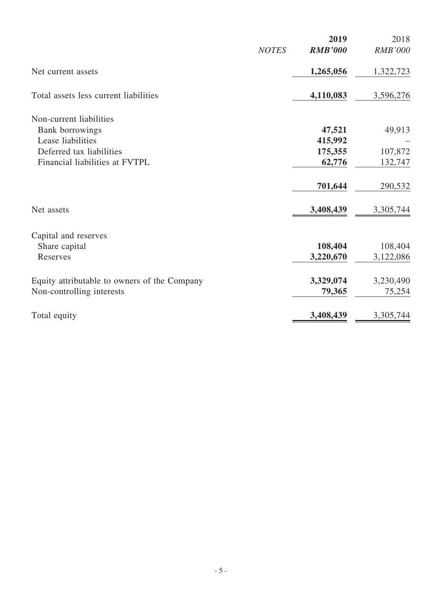|                                              |              | 2019           | 2018           |
|----------------------------------------------|--------------|----------------|----------------|
|                                              | <b>NOTES</b> | <b>RMB'000</b> | <b>RMB'000</b> |
| Net current assets                           |              | 1,265,056      | 1,322,723      |
| Total assets less current liabilities        |              | 4,110,083      | 3,596,276      |
| Non-current liabilities                      |              |                |                |
| Bank borrowings                              |              | 47,521         | 49,913         |
| Lease liabilities                            |              | 415,992        |                |
| Deferred tax liabilities                     |              | 175,355        | 107,872        |
| Financial liabilities at FVTPL               |              | 62,776         | 132,747        |
|                                              |              | 701,644        | 290,532        |
| Net assets                                   |              | 3,408,439      | 3,305,744      |
| Capital and reserves                         |              |                |                |
| Share capital                                |              | 108,404        | 108,404        |
| Reserves                                     |              | 3,220,670      | 3,122,086      |
| Equity attributable to owners of the Company |              | 3,329,074      | 3,230,490      |
| Non-controlling interests                    |              | 79,365         | 75,254         |
| Total equity                                 |              | 3,408,439      | 3,305,744      |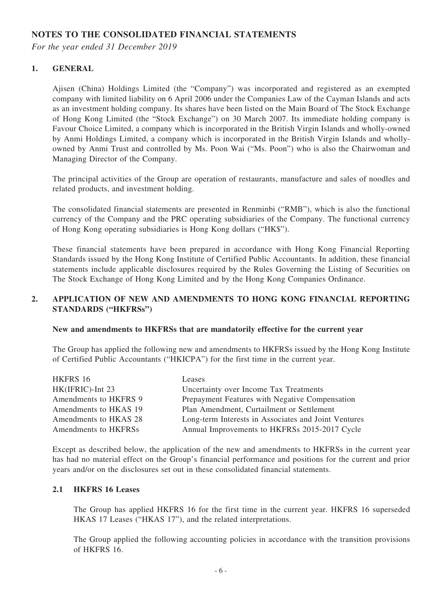### **NOTES TO THE CONSOLIDATED FINANCIAL STATEMENTS**

*For the year ended 31 December 2019*

#### **1. GENERAL**

Ajisen (China) Holdings Limited (the "Company") was incorporated and registered as an exempted company with limited liability on 6 April 2006 under the Companies Law of the Cayman Islands and acts as an investment holding company. Its shares have been listed on the Main Board of The Stock Exchange of Hong Kong Limited (the "Stock Exchange") on 30 March 2007. Its immediate holding company is Favour Choice Limited, a company which is incorporated in the British Virgin Islands and wholly-owned by Anmi Holdings Limited, a company which is incorporated in the British Virgin Islands and whollyowned by Anmi Trust and controlled by Ms. Poon Wai ("Ms. Poon") who is also the Chairwoman and Managing Director of the Company.

The principal activities of the Group are operation of restaurants, manufacture and sales of noodles and related products, and investment holding.

The consolidated financial statements are presented in Renminbi ("RMB"), which is also the functional currency of the Company and the PRC operating subsidiaries of the Company. The functional currency of Hong Kong operating subsidiaries is Hong Kong dollars ("HK\$").

These financial statements have been prepared in accordance with Hong Kong Financial Reporting Standards issued by the Hong Kong Institute of Certified Public Accountants. In addition, these financial statements include applicable disclosures required by the Rules Governing the Listing of Securities on The Stock Exchange of Hong Kong Limited and by the Hong Kong Companies Ordinance.

#### **2. APPLICATION OF NEW AND AMENDMENTS TO HONG KONG FINANCIAL REPORTING STANDARDS ("HKFRSs")**

#### **New and amendments to HKFRSs that are mandatorily effective for the current year**

The Group has applied the following new and amendments to HKFRSs issued by the Hong Kong Institute of Certified Public Accountants ("HKICPA") for the first time in the current year.

| HKFRS 16              | Leases                                               |
|-----------------------|------------------------------------------------------|
| HK(IFRIC)-Int 23      | Uncertainty over Income Tax Treatments               |
| Amendments to HKFRS 9 | Prepayment Features with Negative Compensation       |
| Amendments to HKAS 19 | Plan Amendment, Curtailment or Settlement            |
| Amendments to HKAS 28 | Long-term Interests in Associates and Joint Ventures |
| Amendments to HKFRSs  | Annual Improvements to HKFRSs 2015-2017 Cycle        |

Except as described below, the application of the new and amendments to HKFRSs in the current year has had no material effect on the Group's financial performance and positions for the current and prior years and/or on the disclosures set out in these consolidated financial statements.

#### **2.1 HKFRS 16 Leases**

The Group has applied HKFRS 16 for the first time in the current year. HKFRS 16 superseded HKAS 17 Leases ("HKAS 17"), and the related interpretations.

The Group applied the following accounting policies in accordance with the transition provisions of HKFRS 16.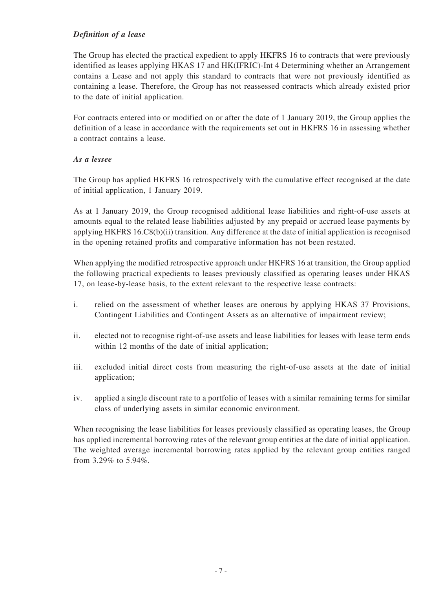#### *Definition of a lease*

The Group has elected the practical expedient to apply HKFRS 16 to contracts that were previously identified as leases applying HKAS 17 and HK(IFRIC)-Int 4 Determining whether an Arrangement contains a Lease and not apply this standard to contracts that were not previously identified as containing a lease. Therefore, the Group has not reassessed contracts which already existed prior to the date of initial application.

For contracts entered into or modified on or after the date of 1 January 2019, the Group applies the definition of a lease in accordance with the requirements set out in HKFRS 16 in assessing whether a contract contains a lease.

#### *As a lessee*

The Group has applied HKFRS 16 retrospectively with the cumulative effect recognised at the date of initial application, 1 January 2019.

As at 1 January 2019, the Group recognised additional lease liabilities and right-of-use assets at amounts equal to the related lease liabilities adjusted by any prepaid or accrued lease payments by applying HKFRS 16.C8(b)(ii) transition. Any difference at the date of initial application is recognised in the opening retained profits and comparative information has not been restated.

When applying the modified retrospective approach under HKFRS 16 at transition, the Group applied the following practical expedients to leases previously classified as operating leases under HKAS 17, on lease-by-lease basis, to the extent relevant to the respective lease contracts:

- i. relied on the assessment of whether leases are onerous by applying HKAS 37 Provisions, Contingent Liabilities and Contingent Assets as an alternative of impairment review;
- ii. elected not to recognise right-of-use assets and lease liabilities for leases with lease term ends within 12 months of the date of initial application;
- iii. excluded initial direct costs from measuring the right-of-use assets at the date of initial application;
- iv. applied a single discount rate to a portfolio of leases with a similar remaining terms for similar class of underlying assets in similar economic environment.

When recognising the lease liabilities for leases previously classified as operating leases, the Group has applied incremental borrowing rates of the relevant group entities at the date of initial application. The weighted average incremental borrowing rates applied by the relevant group entities ranged from 3.29% to 5.94%.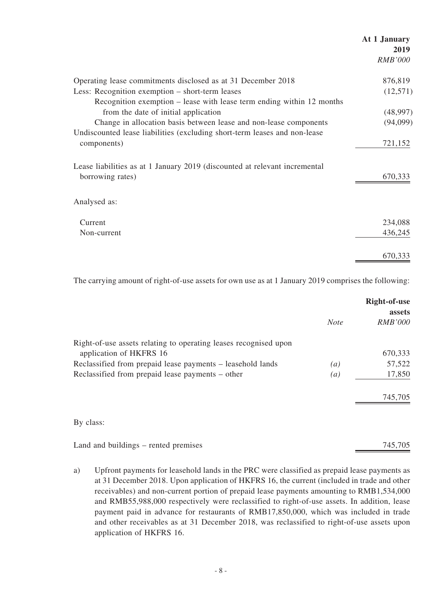# **At 1 January 2019** *RMB'000* Operating lease commitments disclosed as at 31 December 2018 876,819 Less: Recognition exemption – short-term leases (12,571) Recognition exemption – lease with lease term ending within 12 months from the date of initial application (48,997) Change in allocation basis between lease and non-lease components (94,099) Undiscounted lease liabilities (excluding short-term leases and non-lease components) 721,152 Lease liabilities as at 1 January 2019 (discounted at relevant incremental borrowing rates) 670,333 Analysed as: Current 234,088 Non-current 436,245 670,333

The carrying amount of right-of-use assets for own use as at 1 January 2019 comprises the following:

|                                                                  |                  | Right-of-use<br>assets |
|------------------------------------------------------------------|------------------|------------------------|
|                                                                  | <b>Note</b>      | <b>RMB'000</b>         |
| Right-of-use assets relating to operating leases recognised upon |                  |                        |
| application of HKFRS 16                                          |                  | 670,333                |
| Reclassified from prepaid lease payments – leasehold lands       | (a)              | 57,522                 |
| Reclassified from prepaid lease payments – other                 | $\left(a\right)$ | 17,850                 |
|                                                                  |                  | 745,705                |
| By class:                                                        |                  |                        |
| Land and buildings – rented premises                             |                  | 745,705                |

a) Upfront payments for leasehold lands in the PRC were classified as prepaid lease payments as at 31 December 2018. Upon application of HKFRS 16, the current (included in trade and other receivables) and non-current portion of prepaid lease payments amounting to RMB1,534,000 and RMB55,988,000 respectively were reclassified to right-of-use assets. In addition, lease payment paid in advance for restaurants of RMB17,850,000, which was included in trade and other receivables as at 31 December 2018, was reclassified to right-of-use assets upon application of HKFRS 16.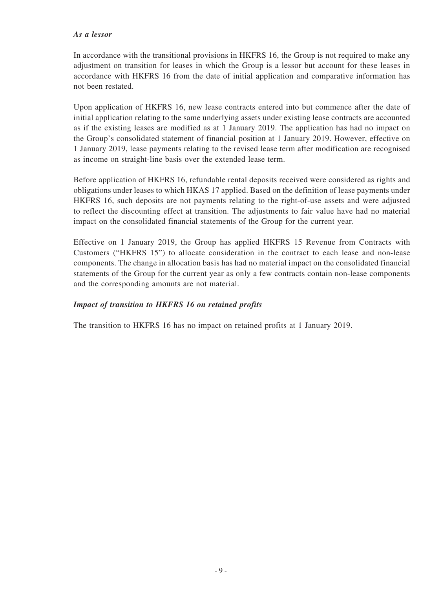#### *As a lessor*

In accordance with the transitional provisions in HKFRS 16, the Group is not required to make any adjustment on transition for leases in which the Group is a lessor but account for these leases in accordance with HKFRS 16 from the date of initial application and comparative information has not been restated.

Upon application of HKFRS 16, new lease contracts entered into but commence after the date of initial application relating to the same underlying assets under existing lease contracts are accounted as if the existing leases are modified as at 1 January 2019. The application has had no impact on the Group's consolidated statement of financial position at 1 January 2019. However, effective on 1 January 2019, lease payments relating to the revised lease term after modification are recognised as income on straight-line basis over the extended lease term.

Before application of HKFRS 16, refundable rental deposits received were considered as rights and obligations under leases to which HKAS 17 applied. Based on the definition of lease payments under HKFRS 16, such deposits are not payments relating to the right-of-use assets and were adjusted to reflect the discounting effect at transition. The adjustments to fair value have had no material impact on the consolidated financial statements of the Group for the current year.

Effective on 1 January 2019, the Group has applied HKFRS 15 Revenue from Contracts with Customers ("HKFRS 15") to allocate consideration in the contract to each lease and non-lease components. The change in allocation basis has had no material impact on the consolidated financial statements of the Group for the current year as only a few contracts contain non-lease components and the corresponding amounts are not material.

#### *Impact of transition to HKFRS 16 on retained profits*

The transition to HKFRS 16 has no impact on retained profits at 1 January 2019.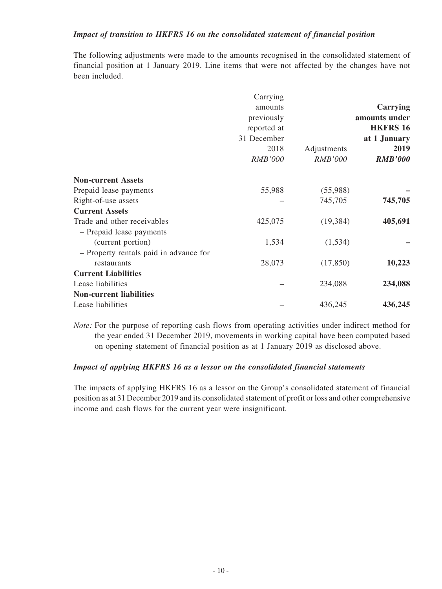#### *Impact of transition to HKFRS 16 on the consolidated statement of financial position*

The following adjustments were made to the amounts recognised in the consolidated statement of financial position at 1 January 2019. Line items that were not affected by the changes have not been included.

|                                        | Carrying       |                |                 |
|----------------------------------------|----------------|----------------|-----------------|
|                                        | amounts        |                | Carrying        |
|                                        | previously     |                | amounts under   |
|                                        | reported at    |                | <b>HKFRS 16</b> |
|                                        | 31 December    |                | at 1 January    |
|                                        | 2018           | Adjustments    | 2019            |
|                                        | <i>RMB'000</i> | <b>RMB'000</b> | <b>RMB'000</b>  |
| <b>Non-current Assets</b>              |                |                |                 |
| Prepaid lease payments                 | 55,988         | (55,988)       |                 |
| Right-of-use assets                    |                | 745,705        | 745,705         |
| <b>Current Assets</b>                  |                |                |                 |
| Trade and other receivables            | 425,075        | (19, 384)      | 405,691         |
| - Prepaid lease payments               |                |                |                 |
| (current portion)                      | 1,534          | (1, 534)       |                 |
| - Property rentals paid in advance for |                |                |                 |
| restaurants                            | 28,073         | (17, 850)      | 10,223          |
| <b>Current Liabilities</b>             |                |                |                 |
| Lease liabilities                      |                | 234,088        | 234,088         |
| <b>Non-current liabilities</b>         |                |                |                 |
| Lease liabilities                      |                | 436,245        | 436,245         |

*Note:* For the purpose of reporting cash flows from operating activities under indirect method for the year ended 31 December 2019, movements in working capital have been computed based on opening statement of financial position as at 1 January 2019 as disclosed above.

#### *Impact of applying HKFRS 16 as a lessor on the consolidated financial statements*

The impacts of applying HKFRS 16 as a lessor on the Group's consolidated statement of financial position as at 31 December 2019 and its consolidated statement of profit or loss and other comprehensive income and cash flows for the current year were insignificant.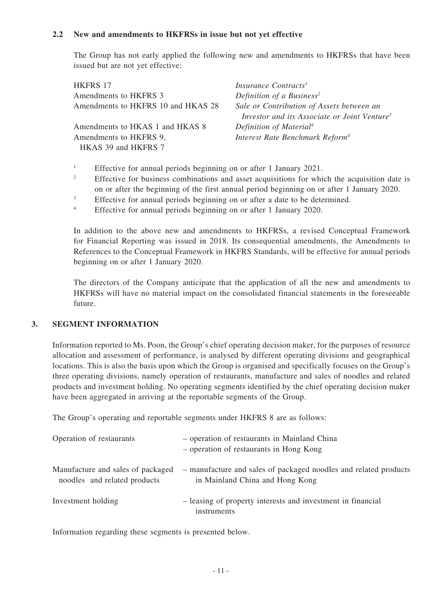#### **2.2 New and amendments to HKFRSs in issue but not yet effective**

The Group has not early applied the following new and amendments to HKFRSs that have been issued but are not yet effective:

| HKFRS 17                                      | Insurance Contracts <sup>1</sup>                                                                      |
|-----------------------------------------------|-------------------------------------------------------------------------------------------------------|
| Amendments to HKFRS 3                         | Definition of a Business <sup>2</sup>                                                                 |
| Amendments to HKFRS 10 and HKAS 28            | Sale or Contribution of Assets between an<br>Investor and its Associate or Joint Venture <sup>3</sup> |
| Amendments to HKAS 1 and HKAS 8               | Definition of Material <sup>4</sup>                                                                   |
| Amendments to HKFRS 9,<br>HKAS 39 and HKFRS 7 | Interest Rate Benchmark Reform <sup>4</sup>                                                           |

<sup>1</sup> Effective for annual periods beginning on or after 1 January 2021.

- <sup>2</sup> Effective for business combinations and asset acquisitions for which the acquisition date is on or after the beginning of the first annual period beginning on or after 1 January 2020.
- <sup>3</sup> Effective for annual periods beginning on or after a date to be determined.
- <sup>4</sup> Effective for annual periods beginning on or after 1 January 2020.

In addition to the above new and amendments to HKFRSs, a revised Conceptual Framework for Financial Reporting was issued in 2018. Its consequential amendments, the Amendments to References to the Conceptual Framework in HKFRS Standards, will be effective for annual periods beginning on or after 1 January 2020.

The directors of the Company anticipate that the application of all the new and amendments to HKFRSs will have no material impact on the consolidated financial statements in the foreseeable future.

#### **3. SEGMENT INFORMATION**

Information reported to Ms. Poon, the Group's chief operating decision maker, for the purposes of resource allocation and assessment of performance, is analysed by different operating divisions and geographical locations. This is also the basis upon which the Group is organised and specifically focuses on the Group's three operating divisions, namely operation of restaurants, manufacture and sales of noodles and related products and investment holding. No operating segments identified by the chief operating decision maker have been aggregated in arriving at the reportable segments of the Group.

The Group's operating and reportable segments under HKFRS 8 are as follows:

| Operation of restaurants                                          | - operation of restaurants in Mainland China<br>- operation of restaurants in Hong Kong             |
|-------------------------------------------------------------------|-----------------------------------------------------------------------------------------------------|
| Manufacture and sales of packaged<br>noodles and related products | - manufacture and sales of packaged noodles and related products<br>in Mainland China and Hong Kong |
| Investment holding                                                | - leasing of property interests and investment in financial<br>instruments                          |

Information regarding these segments is presented below.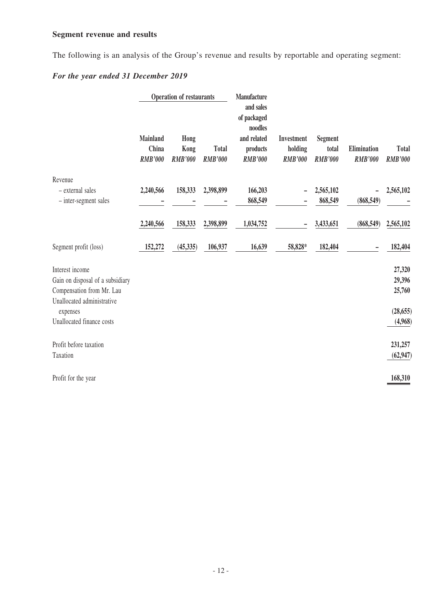# **Segment revenue and results**

The following is an analysis of the Group's revenue and results by reportable and operating segment:

### *For the year ended 31 December 2019*

|                                                                                  | <b>Operation of restaurants</b>     |                                |                                | Manufacture<br>and sales<br>of packaged<br>noodles |                                         |                                           |                               |                                |
|----------------------------------------------------------------------------------|-------------------------------------|--------------------------------|--------------------------------|----------------------------------------------------|-----------------------------------------|-------------------------------------------|-------------------------------|--------------------------------|
|                                                                                  | Mainland<br>China<br><b>RMB'000</b> | Hong<br>Kong<br><b>RMB'000</b> | <b>Total</b><br><b>RMB'000</b> | and related<br>products<br><b>RMB'000</b>          | Investment<br>holding<br><b>RMB'000</b> | <b>Segment</b><br>total<br><b>RMB'000</b> | Elimination<br><b>RMB'000</b> | <b>Total</b><br><b>RMB'000</b> |
| Revenue<br>- external sales<br>- inter-segment sales                             | 2,240,566                           | 158,333                        | 2,398,899                      | 166,203<br>868,549                                 |                                         | 2,565,102<br>868,549                      | (868, 549)                    | 2,565,102                      |
|                                                                                  | 2,240,566                           | 158,333                        | 2,398,899                      | 1,034,752                                          |                                         | 3,433,651                                 | (868, 549)                    | 2,565,102                      |
| Segment profit (loss)                                                            | 152,272                             | (45, 335)                      | 106,937                        | 16,639                                             | 58,828*                                 | 182,404                                   |                               | 182,404                        |
| Interest income<br>Gain on disposal of a subsidiary<br>Compensation from Mr. Lau |                                     |                                |                                |                                                    |                                         |                                           |                               | 27,320<br>29,396<br>25,760     |
| Unallocated administrative<br>expenses<br>Unallocated finance costs              |                                     |                                |                                |                                                    |                                         |                                           |                               | (28, 655)<br>(4,968)           |
| Profit before taxation<br>Taxation                                               |                                     |                                |                                |                                                    |                                         |                                           |                               | 231,257<br>(62, 947)           |
| Profit for the year                                                              |                                     |                                |                                |                                                    |                                         |                                           |                               | 168,310                        |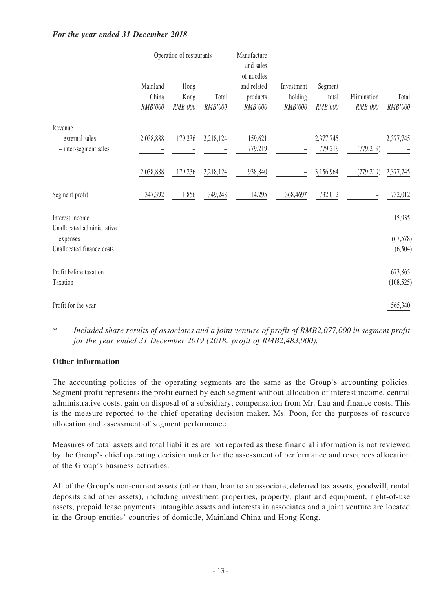|                                       | Operation of restaurants     |                         |                  | Manufacture<br>and sales                         |                                  |                             |                        |                      |
|---------------------------------------|------------------------------|-------------------------|------------------|--------------------------------------------------|----------------------------------|-----------------------------|------------------------|----------------------|
|                                       | Mainland<br>China<br>RMB'000 | Hong<br>Kong<br>RMB'000 | Total<br>RMB'000 | of noodles<br>and related<br>products<br>RMB'000 | Investment<br>holding<br>RMB'000 | Segment<br>total<br>RMB'000 | Elimination<br>RMB'000 | Total<br>RMB'000     |
| Revenue                               |                              |                         |                  |                                                  |                                  |                             |                        |                      |
| - external sales                      | 2,038,888                    | 179,236                 | 2,218,124        | 159,621                                          | $\overline{\phantom{0}}$         | 2,377,745                   |                        | 2,377,745            |
| - inter-segment sales                 |                              |                         |                  | 779,219                                          |                                  | 779,219                     | (779, 219)             |                      |
|                                       | 2,038,888                    | 179,236                 | 2,218,124        | 938,840                                          | $\overline{\phantom{0}}$         | 3,156,964                   | (779, 219)             | 2,377,745            |
| Segment profit                        | 347,392                      | 1,856                   | 349,248          | 14,295                                           | 368,469*                         | 732,012                     |                        | 732,012              |
| Interest income                       |                              |                         |                  |                                                  |                                  |                             |                        | 15,935               |
| Unallocated administrative            |                              |                         |                  |                                                  |                                  |                             |                        |                      |
| expenses<br>Unallocated finance costs |                              |                         |                  |                                                  |                                  |                             |                        | (67, 578)<br>(6,504) |
|                                       |                              |                         |                  |                                                  |                                  |                             |                        |                      |
| Profit before taxation                |                              |                         |                  |                                                  |                                  |                             |                        | 673,865              |
| Taxation                              |                              |                         |                  |                                                  |                                  |                             |                        | (108, 525)           |
| Profit for the year                   |                              |                         |                  |                                                  |                                  |                             |                        | 565,340              |

#### *For the year ended 31 December 2018*

*\* Included share results of associates and a joint venture of profit of RMB2,077,000 in segment profit for the year ended 31 December 2019 (2018: profit of RMB2,483,000).*

#### **Other information**

The accounting policies of the operating segments are the same as the Group's accounting policies. Segment profit represents the profit earned by each segment without allocation of interest income, central administrative costs, gain on disposal of a subsidiary, compensation from Mr. Lau and finance costs. This is the measure reported to the chief operating decision maker, Ms. Poon, for the purposes of resource allocation and assessment of segment performance.

Measures of total assets and total liabilities are not reported as these financial information is not reviewed by the Group's chief operating decision maker for the assessment of performance and resources allocation of the Group's business activities.

All of the Group's non-current assets (other than, loan to an associate, deferred tax assets, goodwill, rental deposits and other assets), including investment properties, property, plant and equipment, right-of-use assets, prepaid lease payments, intangible assets and interests in associates and a joint venture are located in the Group entities' countries of domicile, Mainland China and Hong Kong.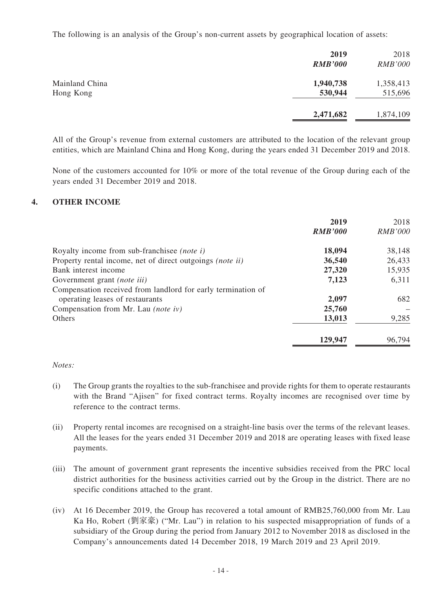The following is an analysis of the Group's non-current assets by geographical location of assets:

|                             | 2019<br><b>RMB'000</b> | 2018<br><b>RMB'000</b> |
|-----------------------------|------------------------|------------------------|
| Mainland China<br>Hong Kong | 1,940,738<br>530,944   | 1,358,413<br>515,696   |
|                             | 2,471,682              | 1,874,109              |

All of the Group's revenue from external customers are attributed to the location of the relevant group entities, which are Mainland China and Hong Kong, during the years ended 31 December 2019 and 2018.

None of the customers accounted for 10% or more of the total revenue of the Group during each of the years ended 31 December 2019 and 2018.

#### **4. OTHER INCOME**

|                                                              | 2019           | 2018           |
|--------------------------------------------------------------|----------------|----------------|
|                                                              | <b>RMB'000</b> | <b>RMB'000</b> |
| Royalty income from sub-franchise ( <i>note i</i> )          | 18,094         | 38,148         |
| Property rental income, net of direct outgoings (note ii)    | 36,540         | 26,433         |
| Bank interest income                                         | 27,320         | 15,935         |
| Government grant (note iii)                                  | 7,123          | 6,311          |
| Compensation received from landlord for early termination of |                |                |
| operating leases of restaurants                              | 2,097          | 682            |
| Compensation from Mr. Lau (note iv)                          | 25,760         |                |
| <b>Others</b>                                                | 13,013         | 9,285          |
|                                                              | 129,947        | 96,794         |

#### *Notes:*

- (i) The Group grants the royalties to the sub-franchisee and provide rights for them to operate restaurants with the Brand "Ajisen" for fixed contract terms. Royalty incomes are recognised over time by reference to the contract terms.
- (ii) Property rental incomes are recognised on a straight-line basis over the terms of the relevant leases. All the leases for the years ended 31 December 2019 and 2018 are operating leases with fixed lease payments.
- (iii) The amount of government grant represents the incentive subsidies received from the PRC local district authorities for the business activities carried out by the Group in the district. There are no specific conditions attached to the grant.
- (iv) At 16 December 2019, the Group has recovered a total amount of RMB25,760,000 from Mr. Lau Ka Ho, Robert (劉家豪) ("Mr. Lau") in relation to his suspected misappropriation of funds of a subsidiary of the Group during the period from January 2012 to November 2018 as disclosed in the Company's announcements dated 14 December 2018, 19 March 2019 and 23 April 2019.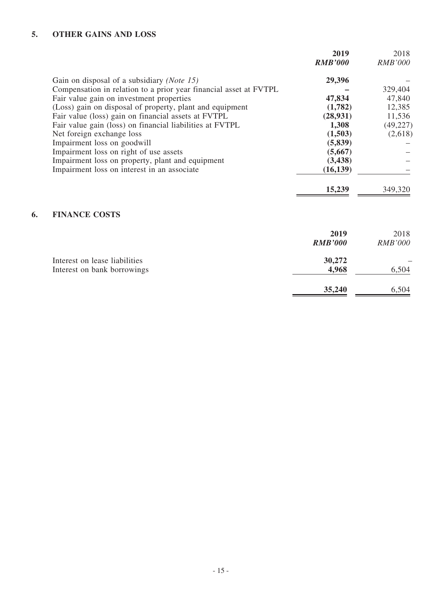# **5. OTHER GAINS AND LOSS**

|                                                                   | 2019<br><b>RMB'000</b> | 2018<br><i>RMB'000</i> |
|-------------------------------------------------------------------|------------------------|------------------------|
|                                                                   |                        |                        |
| Gain on disposal of a subsidiary (Note 15)                        | 29,396                 |                        |
| Compensation in relation to a prior year financial asset at FVTPL |                        | 329,404                |
| Fair value gain on investment properties                          | 47,834                 | 47,840                 |
| (Loss) gain on disposal of property, plant and equipment          | (1,782)                | 12,385                 |
| Fair value (loss) gain on financial assets at FVTPL               | (28, 931)              | 11,536                 |
| Fair value gain (loss) on financial liabilities at FVTPL          | 1,308                  | (49, 227)              |
| Net foreign exchange loss                                         | (1,503)                | (2,618)                |
| Impairment loss on goodwill                                       | (5, 839)               |                        |
| Impairment loss on right of use assets                            | (5,667)                |                        |
| Impairment loss on property, plant and equipment                  | (3, 438)               |                        |
| Impairment loss on interest in an associate                       | (16, 139)              |                        |
|                                                                   | 15,239                 | 349,320                |
|                                                                   |                        |                        |

# **6. FINANCE COSTS**

|                                                              | 2019<br><b>RMB'000</b> | 2018<br><b>RMB'000</b> |
|--------------------------------------------------------------|------------------------|------------------------|
| Interest on lease liabilities<br>Interest on bank borrowings | 30,272<br>4,968        | 6,504                  |
|                                                              | 35,240                 | 6,504                  |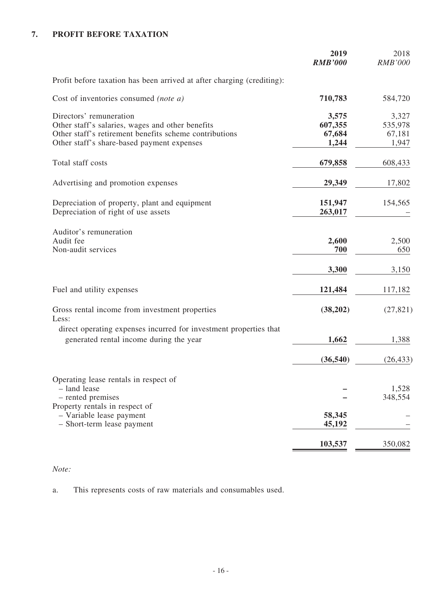# **7. PROFIT BEFORE TAXATION**

|                                                                                                                                                                                     | 2019<br><b>RMB'000</b>              | 2018<br><b>RMB'000</b>              |
|-------------------------------------------------------------------------------------------------------------------------------------------------------------------------------------|-------------------------------------|-------------------------------------|
| Profit before taxation has been arrived at after charging (crediting):                                                                                                              |                                     |                                     |
| Cost of inventories consumed (note a)                                                                                                                                               | 710,783                             | 584,720                             |
| Directors' remuneration<br>Other staff's salaries, wages and other benefits<br>Other staff's retirement benefits scheme contributions<br>Other staff's share-based payment expenses | 3,575<br>607,355<br>67,684<br>1,244 | 3,327<br>535,978<br>67,181<br>1,947 |
| Total staff costs                                                                                                                                                                   | 679,858                             | 608,433                             |
| Advertising and promotion expenses                                                                                                                                                  | 29,349                              | 17,802                              |
| Depreciation of property, plant and equipment<br>Depreciation of right of use assets                                                                                                | 151,947<br>263,017                  | 154,565                             |
| Auditor's remuneration<br>Audit fee<br>Non-audit services                                                                                                                           | 2,600<br>700                        | 2,500<br>650                        |
|                                                                                                                                                                                     | 3,300                               | 3,150                               |
| Fuel and utility expenses                                                                                                                                                           | 121,484                             | 117,182                             |
| Gross rental income from investment properties<br>Less:                                                                                                                             | (38,202)                            | (27, 821)                           |
| direct operating expenses incurred for investment properties that<br>generated rental income during the year                                                                        | 1,662                               | 1,388                               |
|                                                                                                                                                                                     | (36, 540)                           | (26, 433)                           |
| Operating lease rentals in respect of<br>- land lease<br>- rented premises<br>Property rentals in respect of                                                                        |                                     | 1,528<br>348,554                    |
| - Variable lease payment<br>- Short-term lease payment                                                                                                                              | 58,345<br>45,192                    |                                     |
|                                                                                                                                                                                     | 103,537                             | 350,082                             |

### *Note:*

a. This represents costs of raw materials and consumables used.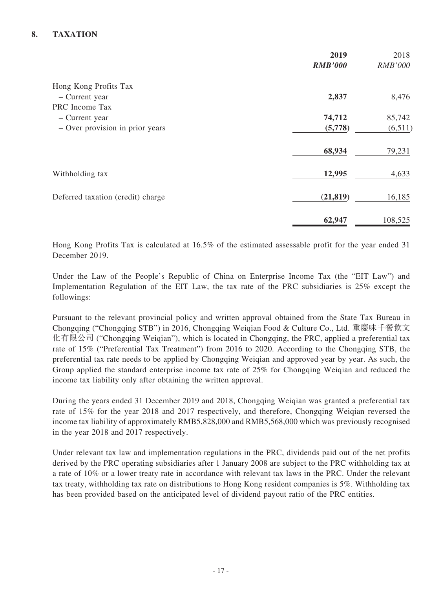### **8. TAXATION**

|                                                                     | 2019<br><b>RMB'000</b> | 2018<br>RMB'000   |
|---------------------------------------------------------------------|------------------------|-------------------|
| Hong Kong Profits Tax<br>- Current year                             | 2,837                  | 8,476             |
| PRC Income Tax<br>- Current year<br>- Over provision in prior years | 74,712<br>(5,778)      | 85,742<br>(6,511) |
|                                                                     | 68,934                 | 79,231            |
| Withholding tax                                                     | 12,995                 | 4,633             |
| Deferred taxation (credit) charge                                   | (21, 819)              | 16,185            |
|                                                                     | 62,947                 | 108,525           |

Hong Kong Profits Tax is calculated at 16.5% of the estimated assessable profit for the year ended 31 December 2019.

Under the Law of the People's Republic of China on Enterprise Income Tax (the "EIT Law") and Implementation Regulation of the EIT Law, the tax rate of the PRC subsidiaries is 25% except the followings:

Pursuant to the relevant provincial policy and written approval obtained from the State Tax Bureau in Chongqing ("Chongqing STB") in 2016, Chongqing Weiqian Food & Culture Co., Ltd. 重慶味千餐飲文 化有限公司 ("Chongqing Weiqian"), which is located in Chongqing, the PRC, applied a preferential tax rate of 15% ("Preferential Tax Treatment") from 2016 to 2020. According to the Chongqing STB, the preferential tax rate needs to be applied by Chongqing Weiqian and approved year by year. As such, the Group applied the standard enterprise income tax rate of 25% for Chongqing Weiqian and reduced the income tax liability only after obtaining the written approval.

During the years ended 31 December 2019 and 2018, Chongqing Weiqian was granted a preferential tax rate of 15% for the year 2018 and 2017 respectively, and therefore, Chongqing Weiqian reversed the income tax liability of approximately RMB5,828,000 and RMB5,568,000 which was previously recognised in the year 2018 and 2017 respectively.

Under relevant tax law and implementation regulations in the PRC, dividends paid out of the net profits derived by the PRC operating subsidiaries after 1 January 2008 are subject to the PRC withholding tax at a rate of 10% or a lower treaty rate in accordance with relevant tax laws in the PRC. Under the relevant tax treaty, withholding tax rate on distributions to Hong Kong resident companies is 5%. Withholding tax has been provided based on the anticipated level of dividend payout ratio of the PRC entities.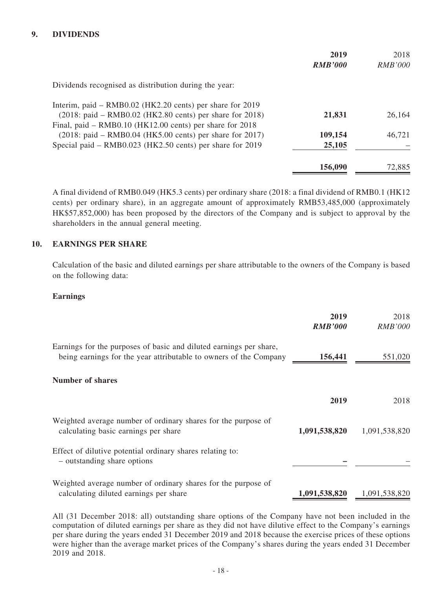#### **9. DIVIDENDS**

|                                                               | 2019<br><b>RMB'000</b> | 2018<br><i>RMB'000</i> |
|---------------------------------------------------------------|------------------------|------------------------|
| Dividends recognised as distribution during the year:         |                        |                        |
| Interim, paid – RMB0.02 (HK2.20 cents) per share for 2019     |                        |                        |
| (2018: paid – RMB0.02 (HK2.80 cents) per share for 2018)      | 21,831                 | 26,164                 |
| Final, paid – $RMB0.10$ ( $HK12.00$ cents) per share for 2018 |                        |                        |
| $(2018:$ paid – RMB0.04 (HK5.00 cents) per share for 2017)    | 109,154                | 46,721                 |
| Special paid – RMB0.023 (HK2.50 cents) per share for 2019     | 25,105                 |                        |
|                                                               | 156,090                | 72,885                 |

A final dividend of RMB0.049 (HK5.3 cents) per ordinary share (2018: a final dividend of RMB0.1 (HK12 cents) per ordinary share), in an aggregate amount of approximately RMB53,485,000 (approximately HK\$57,852,000) has been proposed by the directors of the Company and is subject to approval by the shareholders in the annual general meeting.

#### **10. EARNINGS PER SHARE**

Calculation of the basic and diluted earnings per share attributable to the owners of the Company is based on the following data:

#### **Earnings**

|                                                                                                                                         | 2019<br><b>RMB'000</b> | 2018<br><i>RMB'000</i> |
|-----------------------------------------------------------------------------------------------------------------------------------------|------------------------|------------------------|
| Earnings for the purposes of basic and diluted earnings per share,<br>being earnings for the year attributable to owners of the Company | 156,441                | 551,020                |
| Number of shares                                                                                                                        |                        |                        |
|                                                                                                                                         | 2019                   | 2018                   |
| Weighted average number of ordinary shares for the purpose of<br>calculating basic earnings per share                                   | 1,091,538,820          | 1,091,538,820          |
| Effect of dilutive potential ordinary shares relating to:<br>- outstanding share options                                                |                        |                        |
| Weighted average number of ordinary shares for the purpose of<br>calculating diluted earnings per share                                 | 1,091,538,820          | 1,091,538,820          |

All (31 December 2018: all) outstanding share options of the Company have not been included in the computation of diluted earnings per share as they did not have dilutive effect to the Company's earnings per share during the years ended 31 December 2019 and 2018 because the exercise prices of these options were higher than the average market prices of the Company's shares during the years ended 31 December 2019 and 2018.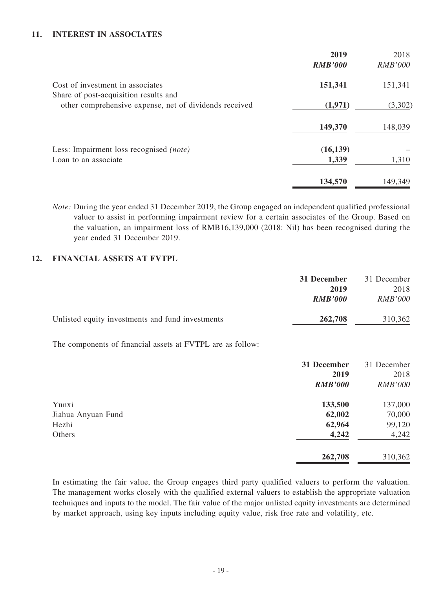#### **11. INTEREST IN ASSOCIATES**

|                                                                                                 | 2019<br><b>RMB'000</b> | 2018<br><b>RMB'000</b> |
|-------------------------------------------------------------------------------------------------|------------------------|------------------------|
| Cost of investment in associates                                                                | 151,341                | 151,341                |
| Share of post-acquisition results and<br>other comprehensive expense, net of dividends received | (1,971)                | (3,302)                |
|                                                                                                 | 149,370                | 148,039                |
| Less: Impairment loss recognised <i>(note)</i><br>Loan to an associate                          | (16, 139)<br>1,339     | 1,310                  |
|                                                                                                 | 134,570                | 149,349                |

*Note:* During the year ended 31 December 2019, the Group engaged an independent qualified professional valuer to assist in performing impairment review for a certain associates of the Group. Based on the valuation, an impairment loss of RMB16,139,000 (2018: Nil) has been recognised during the year ended 31 December 2019.

#### **12. FINANCIAL ASSETS AT FVTPL**

|                                                            | 31 December<br>2019<br><b>RMB'000</b> | 31 December<br>2018<br><i>RMB'000</i> |
|------------------------------------------------------------|---------------------------------------|---------------------------------------|
| Unlisted equity investments and fund investments           | 262,708                               | 310,362                               |
| The components of financial assets at FVTPL are as follow: |                                       |                                       |

|                    | 31 December    | 31 December    |
|--------------------|----------------|----------------|
|                    | 2019           | 2018           |
|                    | <b>RMB'000</b> | <b>RMB'000</b> |
| Yunxi              | 133,500        | 137,000        |
| Jiahua Anyuan Fund | 62,002         | 70,000         |
| Hezhi              | 62,964         | 99,120         |
| Others             | 4,242          | 4,242          |
|                    | 262,708        | 310,362        |

In estimating the fair value, the Group engages third party qualified valuers to perform the valuation. The management works closely with the qualified external valuers to establish the appropriate valuation techniques and inputs to the model. The fair value of the major unlisted equity investments are determined by market approach, using key inputs including equity value, risk free rate and volatility, etc.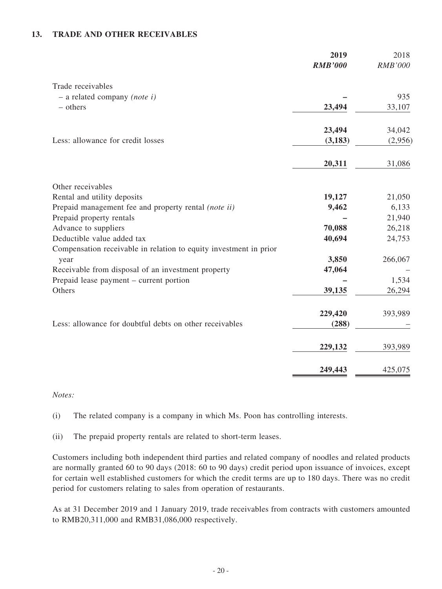#### **13. TRADE AND OTHER RECEIVABLES**

|                                                                   | 2019<br><b>RMB'000</b> | 2018<br><b>RMB'000</b> |
|-------------------------------------------------------------------|------------------------|------------------------|
| Trade receivables                                                 |                        |                        |
| $-$ a related company (note i)                                    |                        | 935                    |
| $-$ others                                                        | 23,494                 | 33,107                 |
|                                                                   | 23,494                 | 34,042                 |
| Less: allowance for credit losses                                 | (3, 183)               | (2,956)                |
|                                                                   | 20,311                 | 31,086                 |
| Other receivables                                                 |                        |                        |
| Rental and utility deposits                                       | 19,127                 | 21,050                 |
| Prepaid management fee and property rental (note ii)              | 9,462                  | 6,133                  |
| Prepaid property rentals                                          |                        | 21,940                 |
| Advance to suppliers                                              | 70,088                 | 26,218                 |
| Deductible value added tax                                        | 40,694                 | 24,753                 |
| Compensation receivable in relation to equity investment in prior |                        |                        |
| year                                                              | 3,850                  | 266,067                |
| Receivable from disposal of an investment property                | 47,064                 |                        |
| Prepaid lease payment – current portion                           |                        | 1,534                  |
| Others                                                            | 39,135                 | 26,294                 |
|                                                                   | 229,420                | 393,989                |
| Less: allowance for doubtful debts on other receivables           | (288)                  |                        |
|                                                                   | 229,132                | 393,989                |
|                                                                   | 249,443                | 425,075                |

#### *Notes:*

(i) The related company is a company in which Ms. Poon has controlling interests.

(ii) The prepaid property rentals are related to short-term leases.

Customers including both independent third parties and related company of noodles and related products are normally granted 60 to 90 days (2018: 60 to 90 days) credit period upon issuance of invoices, except for certain well established customers for which the credit terms are up to 180 days. There was no credit period for customers relating to sales from operation of restaurants.

As at 31 December 2019 and 1 January 2019, trade receivables from contracts with customers amounted to RMB20,311,000 and RMB31,086,000 respectively.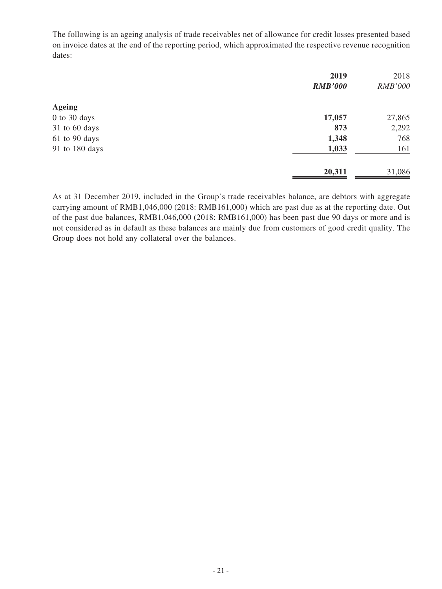The following is an ageing analysis of trade receivables net of allowance for credit losses presented based on invoice dates at the end of the reporting period, which approximated the respective revenue recognition dates:

|                | 2019           | 2018           |
|----------------|----------------|----------------|
|                | <b>RMB'000</b> | <b>RMB'000</b> |
| <b>Ageing</b>  |                |                |
| 0 to 30 days   | 17,057         | 27,865         |
| 31 to 60 days  | 873            | 2,292          |
| 61 to 90 days  | 1,348          | 768            |
| 91 to 180 days | 1,033          | 161            |
|                | 20,311         | 31,086         |

As at 31 December 2019, included in the Group's trade receivables balance, are debtors with aggregate carrying amount of RMB1,046,000 (2018: RMB161,000) which are past due as at the reporting date. Out of the past due balances, RMB1,046,000 (2018: RMB161,000) has been past due 90 days or more and is not considered as in default as these balances are mainly due from customers of good credit quality. The Group does not hold any collateral over the balances.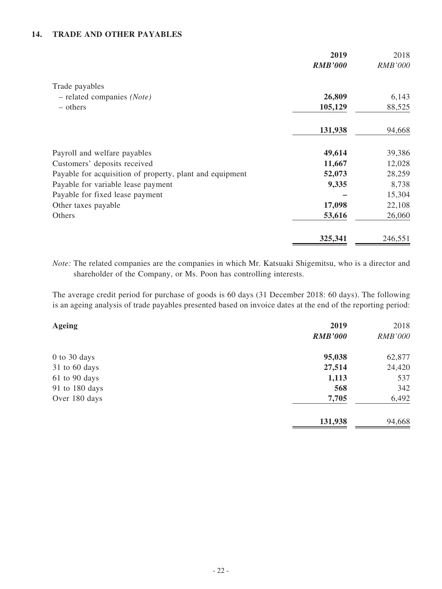#### **14. TRADE AND OTHER PAYABLES**

|                                                          | 2019<br><b>RMB'000</b> | 2018<br><b>RMB'000</b> |
|----------------------------------------------------------|------------------------|------------------------|
| Trade payables                                           |                        |                        |
| $-$ related companies (Note)                             | 26,809                 | 6,143                  |
| – others                                                 | 105,129                | 88,525                 |
|                                                          | 131,938                | 94,668                 |
| Payroll and welfare payables                             | 49,614                 | 39,386                 |
| Customers' deposits received                             | 11,667                 | 12,028                 |
| Payable for acquisition of property, plant and equipment | 52,073                 | 28,259                 |
| Payable for variable lease payment                       | 9,335                  | 8,738                  |
| Payable for fixed lease payment                          |                        | 15,304                 |
| Other taxes payable                                      | 17,098                 | 22,108                 |
| Others                                                   | 53,616                 | 26,060                 |
|                                                          | 325,341                | 246,551                |

*Note:* The related companies are the companies in which Mr. Katsuaki Shigemitsu, who is a director and shareholder of the Company, or Ms. Poon has controlling interests.

The average credit period for purchase of goods is 60 days (31 December 2018: 60 days). The following is an ageing analysis of trade payables presented based on invoice dates at the end of the reporting period:

| <b>Ageing</b>    | 2019           | 2018           |
|------------------|----------------|----------------|
|                  | <b>RMB'000</b> | <b>RMB'000</b> |
| $0$ to $30$ days | 95,038         | 62,877         |
| 31 to 60 days    | 27,514         | 24,420         |
| 61 to 90 days    | 1,113          | 537            |
| 91 to 180 days   | 568            | 342            |
| Over 180 days    | 7,705          | 6,492          |
|                  | 131,938        | 94,668         |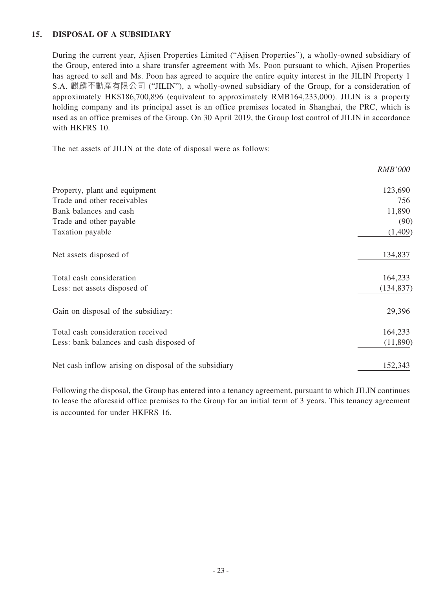#### **15. DISPOSAL OF A SUBSIDIARY**

During the current year, Ajisen Properties Limited ("Ajisen Properties"), a wholly-owned subsidiary of the Group, entered into a share transfer agreement with Ms. Poon pursuant to which, Ajisen Properties has agreed to sell and Ms. Poon has agreed to acquire the entire equity interest in the JILIN Property 1 S.A. 麒麟不動產有限公司 ("JILIN"), a wholly-owned subsidiary of the Group, for a consideration of approximately HK\$186,700,896 (equivalent to approximately RMB164,233,000). JILIN is a property holding company and its principal asset is an office premises located in Shanghai, the PRC, which is used as an office premises of the Group. On 30 April 2019, the Group lost control of JILIN in accordance with HKFRS 10.

The net assets of JILIN at the date of disposal were as follows:

|                                                       | <i>RMB'000</i> |
|-------------------------------------------------------|----------------|
| Property, plant and equipment                         | 123,690        |
| Trade and other receivables                           | 756            |
| Bank balances and cash                                | 11,890         |
| Trade and other payable                               | (90)           |
| Taxation payable                                      | (1,409)        |
| Net assets disposed of                                | 134,837        |
| Total cash consideration                              | 164,233        |
| Less: net assets disposed of                          | (134, 837)     |
| Gain on disposal of the subsidiary:                   | 29,396         |
| Total cash consideration received                     | 164,233        |
| Less: bank balances and cash disposed of              | (11,890)       |
| Net cash inflow arising on disposal of the subsidiary | 152,343        |

Following the disposal, the Group has entered into a tenancy agreement, pursuant to which JILIN continues to lease the aforesaid office premises to the Group for an initial term of 3 years. This tenancy agreement is accounted for under HKFRS 16.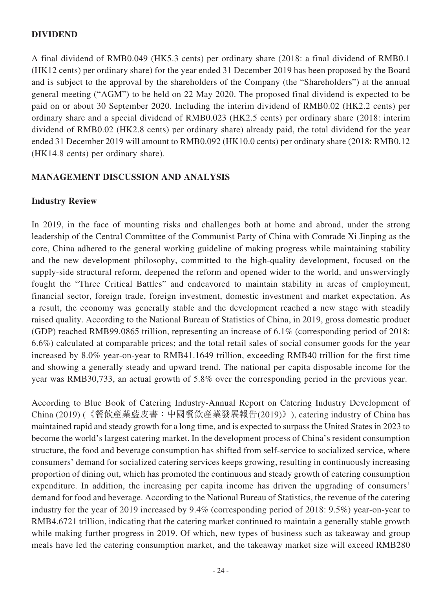### **DIVIDEND**

A final dividend of RMB0.049 (HK5.3 cents) per ordinary share (2018: a final dividend of RMB0.1 (HK12 cents) per ordinary share) for the year ended 31 December 2019 has been proposed by the Board and is subject to the approval by the shareholders of the Company (the "Shareholders") at the annual general meeting ("AGM") to be held on 22 May 2020. The proposed final dividend is expected to be paid on or about 30 September 2020. Including the interim dividend of RMB0.02 (HK2.2 cents) per ordinary share and a special dividend of RMB0.023 (HK2.5 cents) per ordinary share (2018: interim dividend of RMB0.02 (HK2.8 cents) per ordinary share) already paid, the total dividend for the year ended 31 December 2019 will amount to RMB0.092 (HK10.0 cents) per ordinary share (2018: RMB0.12 (HK14.8 cents) per ordinary share).

#### **MANAGEMENT DISCUSSION AND ANALYSIS**

#### **Industry Review**

In 2019, in the face of mounting risks and challenges both at home and abroad, under the strong leadership of the Central Committee of the Communist Party of China with Comrade Xi Jinping as the core, China adhered to the general working guideline of making progress while maintaining stability and the new development philosophy, committed to the high-quality development, focused on the supply-side structural reform, deepened the reform and opened wider to the world, and unswervingly fought the "Three Critical Battles" and endeavored to maintain stability in areas of employment, financial sector, foreign trade, foreign investment, domestic investment and market expectation. As a result, the economy was generally stable and the development reached a new stage with steadily raised quality. According to the National Bureau of Statistics of China, in 2019, gross domestic product (GDP) reached RMB99.0865 trillion, representing an increase of 6.1% (corresponding period of 2018: 6.6%) calculated at comparable prices; and the total retail sales of social consumer goods for the year increased by 8.0% year-on-year to RMB41.1649 trillion, exceeding RMB40 trillion for the first time and showing a generally steady and upward trend. The national per capita disposable income for the year was RMB30,733, an actual growth of 5.8% over the corresponding period in the previous year.

According to Blue Book of Catering Industry-Annual Report on Catering Industry Development of China (2019) (《餐飲產業藍皮書:中國餐飲產業發展報告(2019)》), catering industry of China has maintained rapid and steady growth for a long time, and is expected to surpass the United States in 2023 to become the world's largest catering market. In the development process of China's resident consumption structure, the food and beverage consumption has shifted from self-service to socialized service, where consumers' demand for socialized catering services keeps growing, resulting in continuously increasing proportion of dining out, which has promoted the continuous and steady growth of catering consumption expenditure. In addition, the increasing per capita income has driven the upgrading of consumers' demand for food and beverage. According to the National Bureau of Statistics, the revenue of the catering industry for the year of 2019 increased by 9.4% (corresponding period of 2018: 9.5%) year-on-year to RMB4.6721 trillion, indicating that the catering market continued to maintain a generally stable growth while making further progress in 2019. Of which, new types of business such as takeaway and group meals have led the catering consumption market, and the takeaway market size will exceed RMB280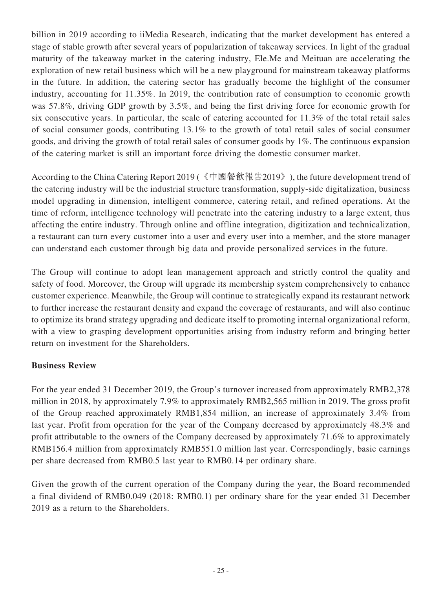billion in 2019 according to iiMedia Research, indicating that the market development has entered a stage of stable growth after several years of popularization of takeaway services. In light of the gradual maturity of the takeaway market in the catering industry, Ele.Me and Meituan are accelerating the exploration of new retail business which will be a new playground for mainstream takeaway platforms in the future. In addition, the catering sector has gradually become the highlight of the consumer industry, accounting for 11.35%. In 2019, the contribution rate of consumption to economic growth was 57.8%, driving GDP growth by 3.5%, and being the first driving force for economic growth for six consecutive years. In particular, the scale of catering accounted for 11.3% of the total retail sales of social consumer goods, contributing 13.1% to the growth of total retail sales of social consumer goods, and driving the growth of total retail sales of consumer goods by 1%. The continuous expansion of the catering market is still an important force driving the domestic consumer market.

According to the China Catering Report 2019 (《中國餐飲報告2019》), the future development trend of the catering industry will be the industrial structure transformation, supply-side digitalization, business model upgrading in dimension, intelligent commerce, catering retail, and refined operations. At the time of reform, intelligence technology will penetrate into the catering industry to a large extent, thus affecting the entire industry. Through online and offline integration, digitization and technicalization, a restaurant can turn every customer into a user and every user into a member, and the store manager can understand each customer through big data and provide personalized services in the future.

The Group will continue to adopt lean management approach and strictly control the quality and safety of food. Moreover, the Group will upgrade its membership system comprehensively to enhance customer experience. Meanwhile, the Group will continue to strategically expand its restaurant network to further increase the restaurant density and expand the coverage of restaurants, and will also continue to optimize its brand strategy upgrading and dedicate itself to promoting internal organizational reform, with a view to grasping development opportunities arising from industry reform and bringing better return on investment for the Shareholders.

# **Business Review**

For the year ended 31 December 2019, the Group's turnover increased from approximately RMB2,378 million in 2018, by approximately 7.9% to approximately RMB2,565 million in 2019. The gross profit of the Group reached approximately RMB1,854 million, an increase of approximately 3.4% from last year. Profit from operation for the year of the Company decreased by approximately 48.3% and profit attributable to the owners of the Company decreased by approximately 71.6% to approximately RMB156.4 million from approximately RMB551.0 million last year. Correspondingly, basic earnings per share decreased from RMB0.5 last year to RMB0.14 per ordinary share.

Given the growth of the current operation of the Company during the year, the Board recommended a final dividend of RMB0.049 (2018: RMB0.1) per ordinary share for the year ended 31 December 2019 as a return to the Shareholders.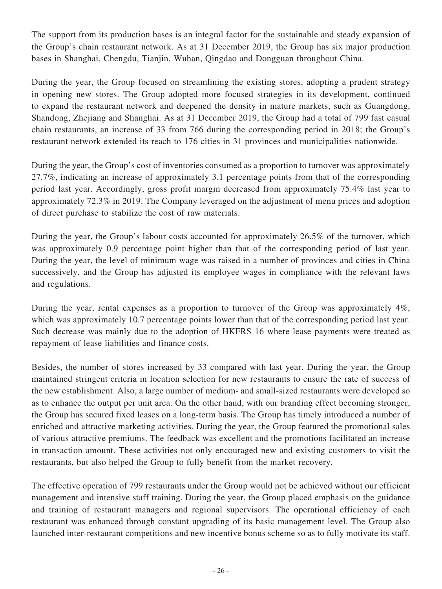The support from its production bases is an integral factor for the sustainable and steady expansion of the Group's chain restaurant network. As at 31 December 2019, the Group has six major production bases in Shanghai, Chengdu, Tianjin, Wuhan, Qingdao and Dongguan throughout China.

During the year, the Group focused on streamlining the existing stores, adopting a prudent strategy in opening new stores. The Group adopted more focused strategies in its development, continued to expand the restaurant network and deepened the density in mature markets, such as Guangdong, Shandong, Zhejiang and Shanghai. As at 31 December 2019, the Group had a total of 799 fast casual chain restaurants, an increase of 33 from 766 during the corresponding period in 2018; the Group's restaurant network extended its reach to 176 cities in 31 provinces and municipalities nationwide.

During the year, the Group's cost of inventories consumed as a proportion to turnover was approximately 27.7%, indicating an increase of approximately 3.1 percentage points from that of the corresponding period last year. Accordingly, gross profit margin decreased from approximately 75.4% last year to approximately 72.3% in 2019. The Company leveraged on the adjustment of menu prices and adoption of direct purchase to stabilize the cost of raw materials.

During the year, the Group's labour costs accounted for approximately 26.5% of the turnover, which was approximately 0.9 percentage point higher than that of the corresponding period of last year. During the year, the level of minimum wage was raised in a number of provinces and cities in China successively, and the Group has adjusted its employee wages in compliance with the relevant laws and regulations.

During the year, rental expenses as a proportion to turnover of the Group was approximately 4%, which was approximately 10.7 percentage points lower than that of the corresponding period last year. Such decrease was mainly due to the adoption of HKFRS 16 where lease payments were treated as repayment of lease liabilities and finance costs.

Besides, the number of stores increased by 33 compared with last year. During the year, the Group maintained stringent criteria in location selection for new restaurants to ensure the rate of success of the new establishment. Also, a large number of medium- and small-sized restaurants were developed so as to enhance the output per unit area. On the other hand, with our branding effect becoming stronger, the Group has secured fixed leases on a long-term basis. The Group has timely introduced a number of enriched and attractive marketing activities. During the year, the Group featured the promotional sales of various attractive premiums. The feedback was excellent and the promotions facilitated an increase in transaction amount. These activities not only encouraged new and existing customers to visit the restaurants, but also helped the Group to fully benefit from the market recovery.

The effective operation of 799 restaurants under the Group would not be achieved without our efficient management and intensive staff training. During the year, the Group placed emphasis on the guidance and training of restaurant managers and regional supervisors. The operational efficiency of each restaurant was enhanced through constant upgrading of its basic management level. The Group also launched inter-restaurant competitions and new incentive bonus scheme so as to fully motivate its staff.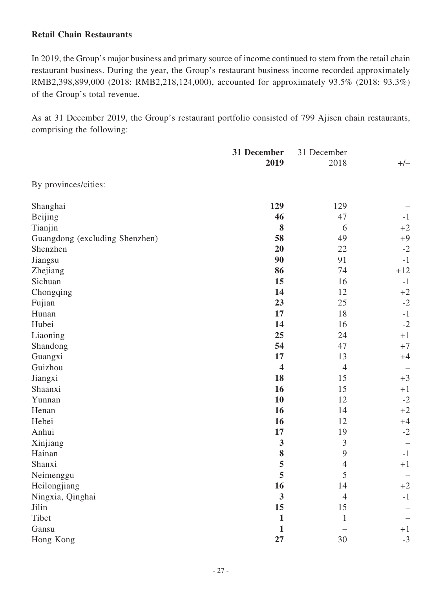### **Retail Chain Restaurants**

In 2019, the Group's major business and primary source of income continued to stem from the retail chain restaurant business. During the year, the Group's restaurant business income recorded approximately RMB2,398,899,000 (2018: RMB2,218,124,000), accounted for approximately 93.5% (2018: 93.3%) of the Group's total revenue.

As at 31 December 2019, the Group's restaurant portfolio consisted of 799 Ajisen chain restaurants, comprising the following:

|                                | 31 December             | 31 December      |       |  |
|--------------------------------|-------------------------|------------------|-------|--|
|                                | 2019                    | 2018             | $+/-$ |  |
| By provinces/cities:           |                         |                  |       |  |
| Shanghai                       | 129                     | 129              |       |  |
| Beijing                        | 46                      | 47               | $-1$  |  |
| Tianjin                        | 8                       | 6                | $+2$  |  |
| Guangdong (excluding Shenzhen) | 58                      | 49               | $+9$  |  |
| Shenzhen                       | 20                      | 22               | $-2$  |  |
| Jiangsu                        | 90                      | 91               | $-1$  |  |
| Zhejiang                       | 86                      | 74               | $+12$ |  |
| Sichuan                        | 15                      | 16               | $-1$  |  |
| Chongqing                      | 14                      | 12               | $+2$  |  |
| Fujian                         | 23                      | 25               | $-2$  |  |
| Hunan                          | 17                      | 18               | $-1$  |  |
| Hubei                          | 14                      | 16               | $-2$  |  |
| Liaoning                       | 25                      | 24               | $+1$  |  |
| Shandong                       | 54                      | 47               | $+7$  |  |
| Guangxi                        | 17                      | 13               | $+4$  |  |
| Guizhou                        | $\overline{\mathbf{4}}$ | $\overline{4}$   |       |  |
| Jiangxi                        | 18                      | 15               | $+3$  |  |
| Shaanxi                        | 16                      | 15               | $+1$  |  |
| Yunnan                         | 10                      | 12               | $-2$  |  |
| Henan                          | <b>16</b>               | 14               | $+2$  |  |
| Hebei                          | 16                      | 12               | $+4$  |  |
| Anhui                          | 17                      | 19               | $-2$  |  |
| Xinjiang                       | 3                       | $\mathfrak{Z}$   |       |  |
| Hainan                         | 8                       | $\boldsymbol{9}$ | $-1$  |  |
| Shanxi                         | 5                       | $\overline{4}$   | $+1$  |  |
| Neimenggu                      | 5                       | 5                |       |  |
| Heilongjiang                   | 16                      | 14               | $+2$  |  |
| Ningxia, Qinghai               | $\overline{\mathbf{3}}$ | $\overline{4}$   | $-1$  |  |
| Jilin                          | 15                      | 15               |       |  |
| Tibet                          | 1                       | 1                |       |  |
| Gansu                          | 1                       |                  | $+1$  |  |
| Hong Kong                      | 27                      | $30\,$           | $-3$  |  |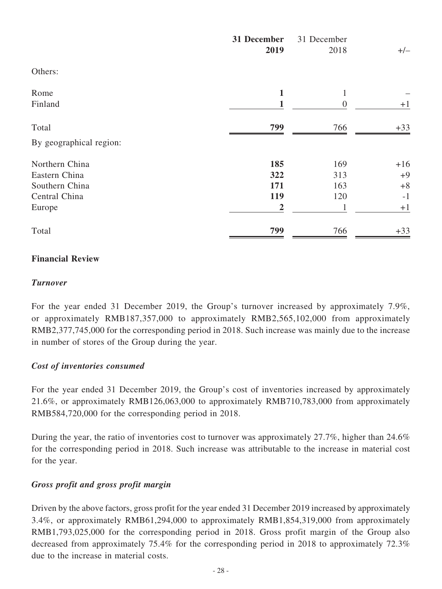|                         | 31 December<br>2019 | 31 December<br>2018 | $+/-$ |
|-------------------------|---------------------|---------------------|-------|
| Others:                 |                     |                     |       |
| Rome                    | 1                   | 1                   |       |
| Finland                 |                     | $\overline{0}$      | $+1$  |
| Total                   | 799                 | 766                 | $+33$ |
| By geographical region: |                     |                     |       |
| Northern China          | 185                 | 169                 | $+16$ |
| Eastern China           | 322                 | 313                 | $+9$  |
| Southern China          | 171                 | 163                 | $+8$  |
| Central China           | 119                 | 120                 | $-1$  |
| Europe                  | $\overline{2}$      | $\mathbf{1}$        | $+1$  |
| Total                   | 799                 | 766                 | $+33$ |

### **Financial Review**

#### *Turnover*

For the year ended 31 December 2019, the Group's turnover increased by approximately 7.9%, or approximately RMB187,357,000 to approximately RMB2,565,102,000 from approximately RMB2,377,745,000 for the corresponding period in 2018. Such increase was mainly due to the increase in number of stores of the Group during the year.

### *Cost of inventories consumed*

For the year ended 31 December 2019, the Group's cost of inventories increased by approximately 21.6%, or approximately RMB126,063,000 to approximately RMB710,783,000 from approximately RMB584,720,000 for the corresponding period in 2018.

During the year, the ratio of inventories cost to turnover was approximately 27.7%, higher than 24.6% for the corresponding period in 2018. Such increase was attributable to the increase in material cost for the year.

### *Gross profit and gross profit margin*

Driven by the above factors, gross profit for the year ended 31 December 2019 increased by approximately 3.4%, or approximately RMB61,294,000 to approximately RMB1,854,319,000 from approximately RMB1,793,025,000 for the corresponding period in 2018. Gross profit margin of the Group also decreased from approximately 75.4% for the corresponding period in 2018 to approximately 72.3% due to the increase in material costs.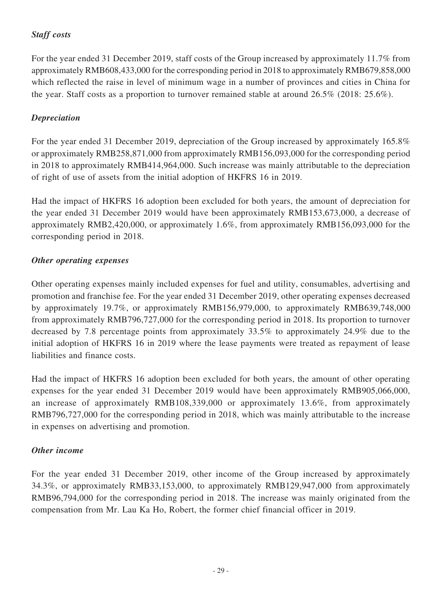# *Staff costs*

For the year ended 31 December 2019, staff costs of the Group increased by approximately 11.7% from approximately RMB608,433,000 for the corresponding period in 2018 to approximately RMB679,858,000 which reflected the raise in level of minimum wage in a number of provinces and cities in China for the year. Staff costs as a proportion to turnover remained stable at around 26.5% (2018: 25.6%).

# *Depreciation*

For the year ended 31 December 2019, depreciation of the Group increased by approximately 165.8% or approximately RMB258,871,000 from approximately RMB156,093,000 for the corresponding period in 2018 to approximately RMB414,964,000. Such increase was mainly attributable to the depreciation of right of use of assets from the initial adoption of HKFRS 16 in 2019.

Had the impact of HKFRS 16 adoption been excluded for both years, the amount of depreciation for the year ended 31 December 2019 would have been approximately RMB153,673,000, a decrease of approximately RMB2,420,000, or approximately 1.6%, from approximately RMB156,093,000 for the corresponding period in 2018.

# *Other operating expenses*

Other operating expenses mainly included expenses for fuel and utility, consumables, advertising and promotion and franchise fee. For the year ended 31 December 2019, other operating expenses decreased by approximately 19.7%, or approximately RMB156,979,000, to approximately RMB639,748,000 from approximately RMB796,727,000 for the corresponding period in 2018. Its proportion to turnover decreased by 7.8 percentage points from approximately 33.5% to approximately 24.9% due to the initial adoption of HKFRS 16 in 2019 where the lease payments were treated as repayment of lease liabilities and finance costs.

Had the impact of HKFRS 16 adoption been excluded for both years, the amount of other operating expenses for the year ended 31 December 2019 would have been approximately RMB905,066,000, an increase of approximately RMB108,339,000 or approximately 13.6%, from approximately RMB796,727,000 for the corresponding period in 2018, which was mainly attributable to the increase in expenses on advertising and promotion.

# *Other income*

For the year ended 31 December 2019, other income of the Group increased by approximately 34.3%, or approximately RMB33,153,000, to approximately RMB129,947,000 from approximately RMB96,794,000 for the corresponding period in 2018. The increase was mainly originated from the compensation from Mr. Lau Ka Ho, Robert, the former chief financial officer in 2019.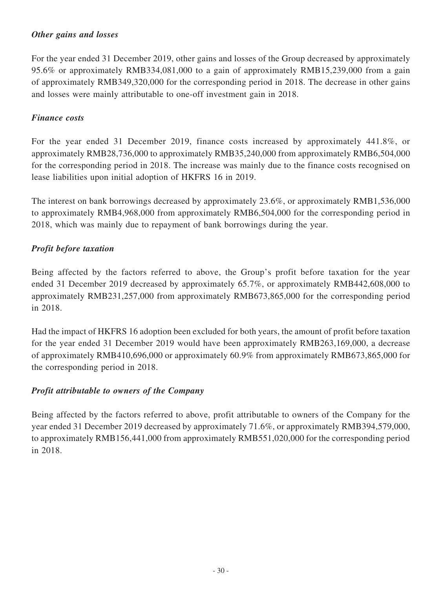### *Other gains and losses*

For the year ended 31 December 2019, other gains and losses of the Group decreased by approximately 95.6% or approximately RMB334,081,000 to a gain of approximately RMB15,239,000 from a gain of approximately RMB349,320,000 for the corresponding period in 2018. The decrease in other gains and losses were mainly attributable to one-off investment gain in 2018.

### *Finance costs*

For the year ended 31 December 2019, finance costs increased by approximately 441.8%, or approximately RMB28,736,000 to approximately RMB35,240,000 from approximately RMB6,504,000 for the corresponding period in 2018. The increase was mainly due to the finance costs recognised on lease liabilities upon initial adoption of HKFRS 16 in 2019.

The interest on bank borrowings decreased by approximately 23.6%, or approximately RMB1,536,000 to approximately RMB4,968,000 from approximately RMB6,504,000 for the corresponding period in 2018, which was mainly due to repayment of bank borrowings during the year.

### *Profit before taxation*

Being affected by the factors referred to above, the Group's profit before taxation for the year ended 31 December 2019 decreased by approximately 65.7%, or approximately RMB442,608,000 to approximately RMB231,257,000 from approximately RMB673,865,000 for the corresponding period in 2018.

Had the impact of HKFRS 16 adoption been excluded for both years, the amount of profit before taxation for the year ended 31 December 2019 would have been approximately RMB263,169,000, a decrease of approximately RMB410,696,000 or approximately 60.9% from approximately RMB673,865,000 for the corresponding period in 2018.

# *Profit attributable to owners of the Company*

Being affected by the factors referred to above, profit attributable to owners of the Company for the year ended 31 December 2019 decreased by approximately 71.6%, or approximately RMB394,579,000, to approximately RMB156,441,000 from approximately RMB551,020,000 for the corresponding period in 2018.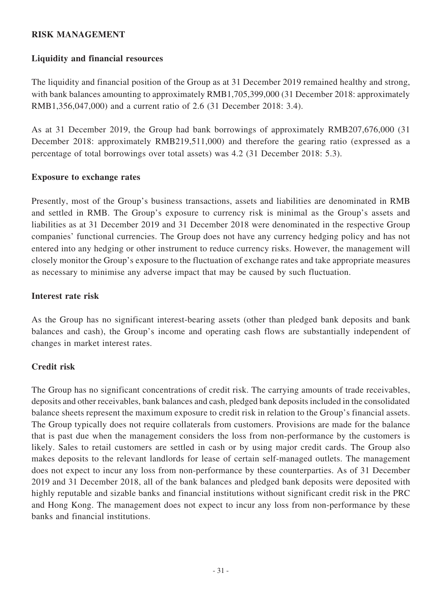### **RISK MANAGEMENT**

### **Liquidity and financial resources**

The liquidity and financial position of the Group as at 31 December 2019 remained healthy and strong, with bank balances amounting to approximately RMB1,705,399,000 (31 December 2018: approximately RMB1,356,047,000) and a current ratio of 2.6 (31 December 2018: 3.4).

As at 31 December 2019, the Group had bank borrowings of approximately RMB207,676,000 (31 December 2018: approximately RMB219,511,000) and therefore the gearing ratio (expressed as a percentage of total borrowings over total assets) was 4.2 (31 December 2018: 5.3).

#### **Exposure to exchange rates**

Presently, most of the Group's business transactions, assets and liabilities are denominated in RMB and settled in RMB. The Group's exposure to currency risk is minimal as the Group's assets and liabilities as at 31 December 2019 and 31 December 2018 were denominated in the respective Group companies' functional currencies. The Group does not have any currency hedging policy and has not entered into any hedging or other instrument to reduce currency risks. However, the management will closely monitor the Group's exposure to the fluctuation of exchange rates and take appropriate measures as necessary to minimise any adverse impact that may be caused by such fluctuation.

### **Interest rate risk**

As the Group has no significant interest-bearing assets (other than pledged bank deposits and bank balances and cash), the Group's income and operating cash flows are substantially independent of changes in market interest rates.

### **Credit risk**

The Group has no significant concentrations of credit risk. The carrying amounts of trade receivables, deposits and other receivables, bank balances and cash, pledged bank deposits included in the consolidated balance sheets represent the maximum exposure to credit risk in relation to the Group's financial assets. The Group typically does not require collaterals from customers. Provisions are made for the balance that is past due when the management considers the loss from non-performance by the customers is likely. Sales to retail customers are settled in cash or by using major credit cards. The Group also makes deposits to the relevant landlords for lease of certain self-managed outlets. The management does not expect to incur any loss from non-performance by these counterparties. As of 31 December 2019 and 31 December 2018, all of the bank balances and pledged bank deposits were deposited with highly reputable and sizable banks and financial institutions without significant credit risk in the PRC and Hong Kong. The management does not expect to incur any loss from non-performance by these banks and financial institutions.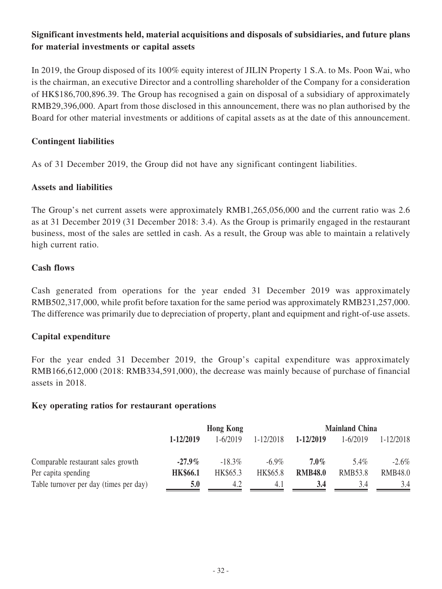# **Significant investments held, material acquisitions and disposals of subsidiaries, and future plans for material investments or capital assets**

In 2019, the Group disposed of its 100% equity interest of JILIN Property 1 S.A. to Ms. Poon Wai, who is the chairman, an executive Director and a controlling shareholder of the Company for a consideration of HK\$186,700,896.39. The Group has recognised a gain on disposal of a subsidiary of approximately RMB29,396,000. Apart from those disclosed in this announcement, there was no plan authorised by the Board for other material investments or additions of capital assets as at the date of this announcement.

### **Contingent liabilities**

As of 31 December 2019, the Group did not have any significant contingent liabilities.

### **Assets and liabilities**

The Group's net current assets were approximately RMB1,265,056,000 and the current ratio was 2.6 as at 31 December 2019 (31 December 2018: 3.4). As the Group is primarily engaged in the restaurant business, most of the sales are settled in cash. As a result, the Group was able to maintain a relatively high current ratio.

#### **Cash flows**

Cash generated from operations for the year ended 31 December 2019 was approximately RMB502,317,000, while profit before taxation for the same period was approximately RMB231,257,000. The difference was primarily due to depreciation of property, plant and equipment and right-of-use assets.

### **Capital expenditure**

For the year ended 31 December 2019, the Group's capital expenditure was approximately RMB166,612,000 (2018: RMB334,591,000), the decrease was mainly because of purchase of financial assets in 2018.

#### **Key operating ratios for restaurant operations**

|                                        | <b>Hong Kong</b> |           |               | <b>Mainland China</b> |                |                |
|----------------------------------------|------------------|-----------|---------------|-----------------------|----------------|----------------|
|                                        | 1-12/2019        | 1-6/2019  | $1 - 12/2018$ | 1-12/2019             | $1 - 6/2019$   | 1-12/2018      |
| Comparable restaurant sales growth     | $-27.9\%$        | $-18.3\%$ | $-6.9\%$      | $7.0\%$               | 5.4%           | $-2.6\%$       |
| Per capita spending                    | <b>HK\$66.1</b>  | HK\$65.3  | HK\$65.8      | <b>RMB48.0</b>        | <b>RMB53.8</b> | <b>RMB48.0</b> |
| Table turnover per day (times per day) | 5.0              | 4.2       | 4. I          | 3.4                   | 3.4            | 3.4            |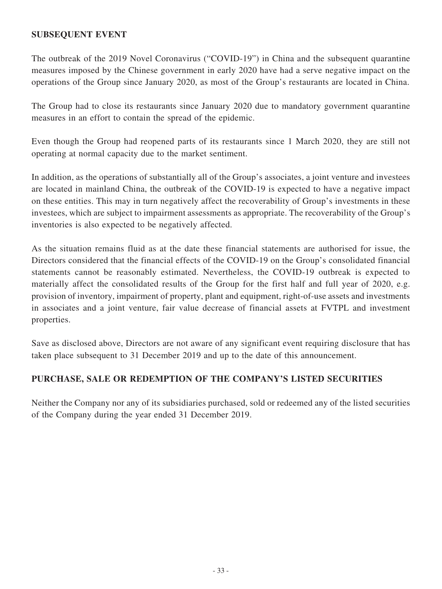### **SUBSEQUENT EVENT**

The outbreak of the 2019 Novel Coronavirus ("COVID-19") in China and the subsequent quarantine measures imposed by the Chinese government in early 2020 have had a serve negative impact on the operations of the Group since January 2020, as most of the Group's restaurants are located in China.

The Group had to close its restaurants since January 2020 due to mandatory government quarantine measures in an effort to contain the spread of the epidemic.

Even though the Group had reopened parts of its restaurants since 1 March 2020, they are still not operating at normal capacity due to the market sentiment.

In addition, as the operations of substantially all of the Group's associates, a joint venture and investees are located in mainland China, the outbreak of the COVID-19 is expected to have a negative impact on these entities. This may in turn negatively affect the recoverability of Group's investments in these investees, which are subject to impairment assessments as appropriate. The recoverability of the Group's inventories is also expected to be negatively affected.

As the situation remains fluid as at the date these financial statements are authorised for issue, the Directors considered that the financial effects of the COVID-19 on the Group's consolidated financial statements cannot be reasonably estimated. Nevertheless, the COVID-19 outbreak is expected to materially affect the consolidated results of the Group for the first half and full year of 2020, e.g. provision of inventory, impairment of property, plant and equipment, right-of-use assets and investments in associates and a joint venture, fair value decrease of financial assets at FVTPL and investment properties.

Save as disclosed above, Directors are not aware of any significant event requiring disclosure that has taken place subsequent to 31 December 2019 and up to the date of this announcement.

### **PURCHASE, SALE OR REDEMPTION OF THE COMPANY'S LISTED SECURITIES**

Neither the Company nor any of its subsidiaries purchased, sold or redeemed any of the listed securities of the Company during the year ended 31 December 2019.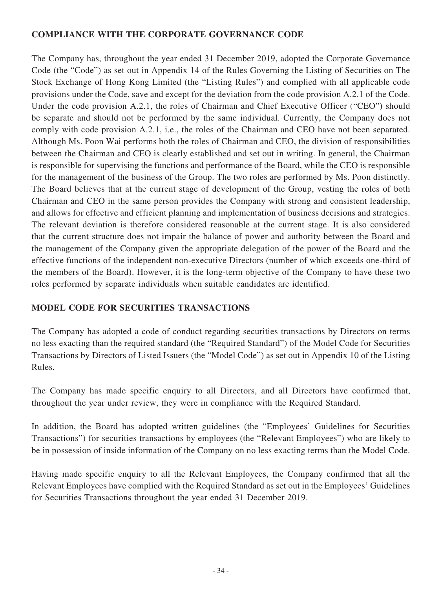### **COMPLIANCE WITH THE CORPORATE GOVERNANCE CODE**

The Company has, throughout the year ended 31 December 2019, adopted the Corporate Governance Code (the "Code") as set out in Appendix 14 of the Rules Governing the Listing of Securities on The Stock Exchange of Hong Kong Limited (the "Listing Rules") and complied with all applicable code provisions under the Code, save and except for the deviation from the code provision A.2.1 of the Code. Under the code provision A.2.1, the roles of Chairman and Chief Executive Officer ("CEO") should be separate and should not be performed by the same individual. Currently, the Company does not comply with code provision A.2.1, i.e., the roles of the Chairman and CEO have not been separated. Although Ms. Poon Wai performs both the roles of Chairman and CEO, the division of responsibilities between the Chairman and CEO is clearly established and set out in writing. In general, the Chairman is responsible for supervising the functions and performance of the Board, while the CEO is responsible for the management of the business of the Group. The two roles are performed by Ms. Poon distinctly. The Board believes that at the current stage of development of the Group, vesting the roles of both Chairman and CEO in the same person provides the Company with strong and consistent leadership, and allows for effective and efficient planning and implementation of business decisions and strategies. The relevant deviation is therefore considered reasonable at the current stage. It is also considered that the current structure does not impair the balance of power and authority between the Board and the management of the Company given the appropriate delegation of the power of the Board and the effective functions of the independent non-executive Directors (number of which exceeds one-third of the members of the Board). However, it is the long-term objective of the Company to have these two roles performed by separate individuals when suitable candidates are identified.

# **MODEL CODE FOR SECURITIES TRANSACTIONS**

The Company has adopted a code of conduct regarding securities transactions by Directors on terms no less exacting than the required standard (the "Required Standard") of the Model Code for Securities Transactions by Directors of Listed Issuers (the "Model Code") as set out in Appendix 10 of the Listing Rules.

The Company has made specific enquiry to all Directors, and all Directors have confirmed that, throughout the year under review, they were in compliance with the Required Standard.

In addition, the Board has adopted written guidelines (the "Employees' Guidelines for Securities Transactions") for securities transactions by employees (the "Relevant Employees") who are likely to be in possession of inside information of the Company on no less exacting terms than the Model Code.

Having made specific enquiry to all the Relevant Employees, the Company confirmed that all the Relevant Employees have complied with the Required Standard as set out in the Employees' Guidelines for Securities Transactions throughout the year ended 31 December 2019.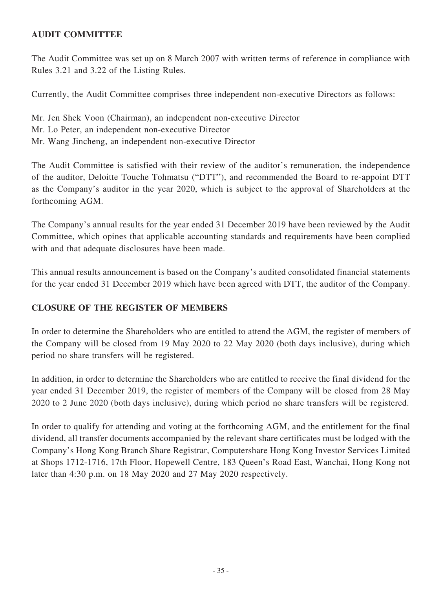# **AUDIT COMMITTEE**

The Audit Committee was set up on 8 March 2007 with written terms of reference in compliance with Rules 3.21 and 3.22 of the Listing Rules.

Currently, the Audit Committee comprises three independent non-executive Directors as follows:

Mr. Jen Shek Voon (Chairman), an independent non-executive Director Mr. Lo Peter, an independent non-executive Director Mr. Wang Jincheng, an independent non-executive Director

The Audit Committee is satisfied with their review of the auditor's remuneration, the independence of the auditor, Deloitte Touche Tohmatsu ("DTT"), and recommended the Board to re-appoint DTT as the Company's auditor in the year 2020, which is subject to the approval of Shareholders at the forthcoming AGM.

The Company's annual results for the year ended 31 December 2019 have been reviewed by the Audit Committee, which opines that applicable accounting standards and requirements have been complied with and that adequate disclosures have been made.

This annual results announcement is based on the Company's audited consolidated financial statements for the year ended 31 December 2019 which have been agreed with DTT, the auditor of the Company.

### **CLOSURE OF THE REGISTER OF MEMBERS**

In order to determine the Shareholders who are entitled to attend the AGM, the register of members of the Company will be closed from 19 May 2020 to 22 May 2020 (both days inclusive), during which period no share transfers will be registered.

In addition, in order to determine the Shareholders who are entitled to receive the final dividend for the year ended 31 December 2019, the register of members of the Company will be closed from 28 May 2020 to 2 June 2020 (both days inclusive), during which period no share transfers will be registered.

In order to qualify for attending and voting at the forthcoming AGM, and the entitlement for the final dividend, all transfer documents accompanied by the relevant share certificates must be lodged with the Company's Hong Kong Branch Share Registrar, Computershare Hong Kong Investor Services Limited at Shops 1712-1716, 17th Floor, Hopewell Centre, 183 Queen's Road East, Wanchai, Hong Kong not later than 4:30 p.m. on 18 May 2020 and 27 May 2020 respectively.